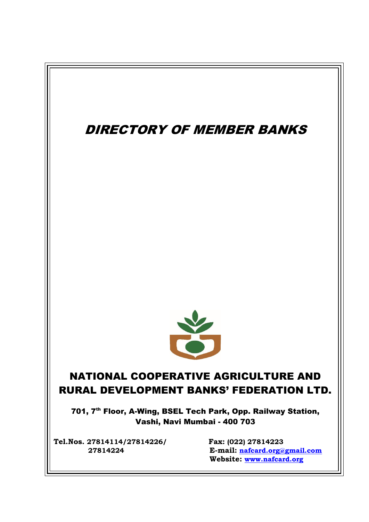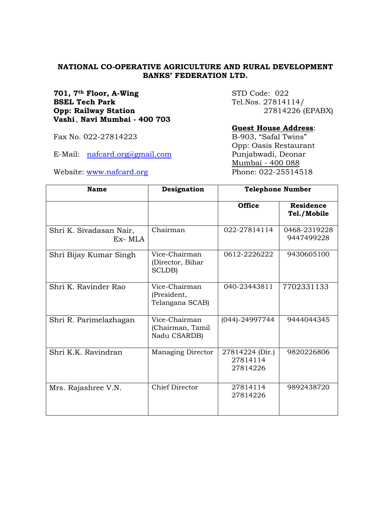## **NATIONAL CO-OPERATIVE AGRICULTURE AND RURAL DEVELOPMENT BANKS' FEDERATION LTD.**

**701, 7<sup>th</sup> Floor, A-Wing** STD Code: 022 **BSEL Tech Park** Tel.Nos. 27814114/ **Opp: Railway Station** 27814226 (EPABX) **Vashi**, **Navi Mumbai - 400 703**

#### **Guest House Address**:

Opp: Oasis Restaurant Mumbai - 400 088 Website: [www.nafcard.org](http://www.nafcard.org/) Phone: 022-25514518

**Name Designation Telephone Number Office Residence Tel./Mobile** Shri K. Sivadasan Nair, Ex- MLA Chairman 022-27814114 0468-2319228 9447499228 Shri Bijay Kumar Singh | Vice-Chairman (Director, Bihar SCLDB) 0612-2226222 9430605100 Shri K. Ravinder Rao Vice-Chairman (President, Telangana SCAB) 040-23443811 7702331133 Shri R. Parimelazhagan | Vice-Chairman (Chairman, Tamil Nadu CSARDB) (044)-24997744 9444044345 Shri K.K. Ravindran Managing Director 27814224 (Dir.) 27814114 27814226 9820226806 Mrs. Rajashree V.N. Chief Director | 27814114 27814226 9892438720

Fax No. 022-27814223 B-903, "Safal Twins"

E-Mail: nafcard.org@gmail.com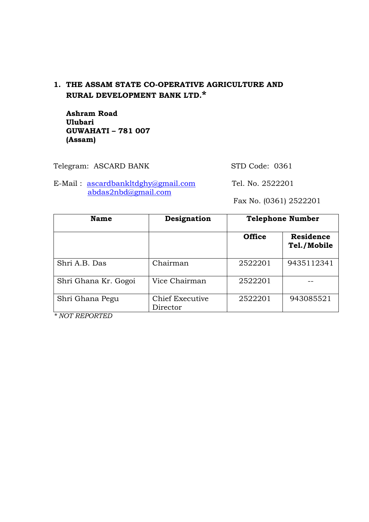# **1. THE ASSAM STATE CO-OPERATIVE AGRICULTURE AND RURAL DEVELOPMENT BANK LTD.\***

 **Ashram Road Ulubari GUWAHATI – 781 007 (Assam)**

Telegram: ASCARD BANK STD Code: 0361

E-Mail: [ascardbankltdghy@gmail.com](mailto:ascardbankltdghy@gmail.com) Tel. No. 2522201 [abdas2nbd@gmail.com](mailto:abdas2nbd@gmail.com)

Fax No. (0361) 2522201

| <b>Name</b>          | Designation                        |               | <b>Telephone Number</b>         |
|----------------------|------------------------------------|---------------|---------------------------------|
|                      |                                    | <b>Office</b> | <b>Residence</b><br>Tel./Mobile |
| Shri A.B. Das        | Chairman                           | 2522201       | 9435112341                      |
| Shri Ghana Kr. Gogoi | Vice Chairman                      | 2522201       |                                 |
| Shri Ghana Pegu      | <b>Chief Executive</b><br>Director | 2522201       | 943085521                       |

*\* NOT REPORTED*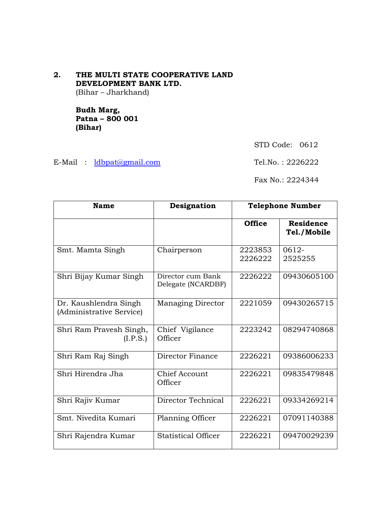**2. THE MULTI STATE COOPERATIVE LAND DEVELOPMENT BANK LTD.** (Bihar – Jharkhand)

> **Budh Marg, Patna – 800 001 (Bihar)**

> > STD Code: 0612

E-Mail :  $\frac{1 \text{dbpat}(a \text{gmail.com})}{2226222}$ 

Fax No.: 2224344

| <b>Name</b>                                       | Designation                             |                    | <b>Telephone Number</b>         |
|---------------------------------------------------|-----------------------------------------|--------------------|---------------------------------|
|                                                   |                                         | <b>Office</b>      | <b>Residence</b><br>Tel./Mobile |
| Smt. Mamta Singh                                  | Chairperson                             | 2223853<br>2226222 | 0612-<br>2525255                |
| Shri Bijay Kumar Singh                            | Director cum Bank<br>Delegate (NCARDBF) | 2226222            | 09430605100                     |
| Dr. Kaushlendra Singh<br>(Administrative Service) | <b>Managing Director</b>                | 2221059            | 09430265715                     |
| Shri Ram Pravesh Singh,<br>(I.P.S.)               | Chief Vigilance<br>Officer              | 2223242            | 08294740868                     |
| Shri Ram Raj Singh                                | Director Finance                        | 2226221            | 09386006233                     |
| Shri Hirendra Jha                                 | Chief Account<br>Officer                | 2226221            | 09835479848                     |
| Shri Rajiv Kumar                                  | Director Technical                      | 2226221            | 09334269214                     |
| Smt. Nivedita Kumari                              | Planning Officer                        | 2226221            | 07091140388                     |
| Shri Rajendra Kumar                               | <b>Statistical Officer</b>              | 2226221            | 09470029239                     |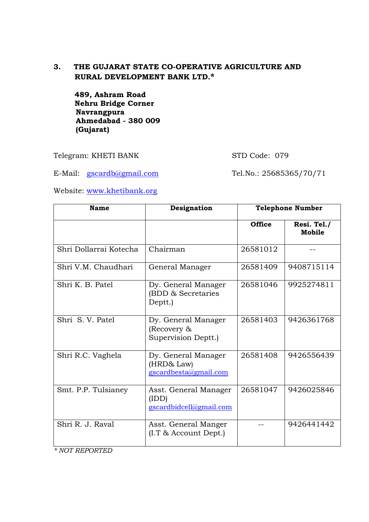# **3. THE GUJARAT STATE CO-OPERATIVE AGRICULTURE AND RURAL DEVELOPMENT BANK LTD.\***

 **489, Ashram Road Nehru Bridge Corner Navrangpura Ahmedabad - 380 009 (Gujarat)**

Telegram: KHETI BANK STD Code: 079

E-Mail: [gscardb@gmail.com](mailto:gscardb@gmail.com) Tel.No.: 25685365/70/71

Website: [www.khetibank.org](http://www.khetibank.org/)

| <b>Name</b>            | Designation                                                | <b>Telephone Number</b> |                       |
|------------------------|------------------------------------------------------------|-------------------------|-----------------------|
|                        |                                                            | <b>Office</b>           | Resi. Tel./<br>Mobile |
| Shri Dollarrai Kotecha | Chairman                                                   | 26581012                |                       |
| Shri V.M. Chaudhari    | General Manager                                            | 26581409                | 9408715114            |
| Shri K. B. Patel       | Dy. General Manager<br>(BDD & Secretaries<br>Deptt.)       | 26581046                | 9925274811            |
| Shri S. V. Patel       | Dy. General Manager<br>(Recovery &<br>Supervision Deptt.)  | 26581403                | 9426361768            |
| Shri R.C. Vaghela      | Dy. General Manager<br>(HRD& Law)<br>gscardbesta@gmail.com | 26581408                | 9426556439            |
| Smt. P.P. Tulsianey    | Asst. General Manager<br>(IDD)<br>gscardbidcell@gmail.com  | 26581047                | 9426025846            |
| Shri R. J. Raval       | Asst. General Manger<br>$(I.T \&$ Account Dept.)           |                         | 9426441442            |

*\* NOT REPORTED*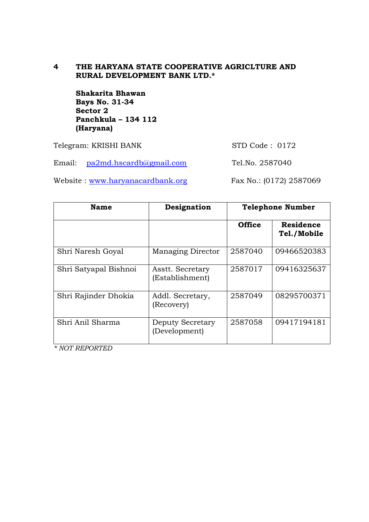# **4 THE HARYANA STATE COOPERATIVE AGRICLTURE AND RURAL DEVELOPMENT BANK LTD.\***

 **Shakarita Bhawan Bays No. 31-34 Sector 2 Panchkula – 134 112 (Haryana)**

Telegram: KRISHI BANK STD Code : 0172

Email: [pa2md.hscardb@gmail.com](mailto:pa2md.hscardb@gmail.com) Tel.No. 2587040

Website : [www.haryanacardbank.org](http://www.haryanacardbank.org/) Fax No.: (0172) 2587069

| <b>Name</b>           | Designation                         | <b>Telephone Number</b> |                                 |
|-----------------------|-------------------------------------|-------------------------|---------------------------------|
|                       |                                     | <b>Office</b>           | <b>Residence</b><br>Tel./Mobile |
| Shri Naresh Goyal     | <b>Managing Director</b>            | 2587040                 | 09466520383                     |
| Shri Satyapal Bishnoi | Asstt. Secretary<br>(Establishment) | 2587017                 | 09416325637                     |
| Shri Rajinder Dhokia  | Addl. Secretary,<br>(Recovery)      | 2587049                 | 08295700371                     |
| Shri Anil Sharma      | Deputy Secretary<br>(Development)   | 2587058                 | 09417194181                     |

*\* NOT REPORTED*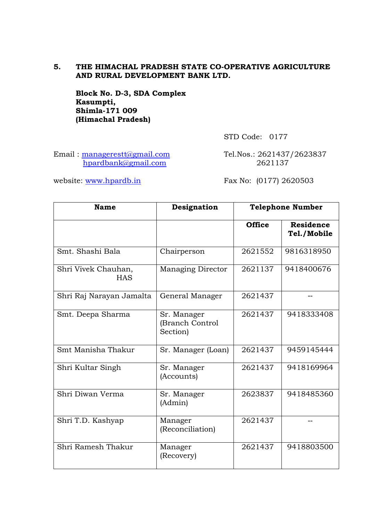# **5. THE HIMACHAL PRADESH STATE CO-OPERATIVE AGRICULTURE AND RURAL DEVELOPMENT BANK LTD.**

 **Block No. D-3, SDA Complex Kasumpti, Shimla-171 009 (Himachal Pradesh)**

STD Code: 0177

Email: [managerestt@gmail.com](mailto:managerestt@gmail.com) Tel.Nos.: 2621437/2623837 [hpardbank@gmail.com](mailto:hpardbank@gmail.com) 2621137

website: [www.hpardb.i](http://www.hpardb./)n Fax No: (0177) 2620503

| <b>Name</b>                       | Designation                                | <b>Telephone Number</b> |                                 |
|-----------------------------------|--------------------------------------------|-------------------------|---------------------------------|
|                                   |                                            | <b>Office</b>           | <b>Residence</b><br>Tel./Mobile |
| Smt. Shashi Bala                  | Chairperson                                | 2621552                 | 9816318950                      |
| Shri Vivek Chauhan,<br><b>HAS</b> | <b>Managing Director</b>                   | 2621137                 | 9418400676                      |
| Shri Raj Narayan Jamalta          | General Manager                            | 2621437                 |                                 |
| Smt. Deepa Sharma                 | Sr. Manager<br>(Branch Control<br>Section) | 2621437                 | 9418333408                      |
| Smt Manisha Thakur                | Sr. Manager (Loan)                         | 2621437                 | 9459145444                      |
| Shri Kultar Singh                 | Sr. Manager<br>(Accounts)                  | 2621437                 | 9418169964                      |
| Shri Diwan Verma                  | Sr. Manager<br>(Admin)                     | 2623837                 | 9418485360                      |
| Shri T.D. Kashyap                 | Manager<br>(Reconciliation)                | 2621437                 | $-1$                            |
| Shri Ramesh Thakur                | Manager<br>(Recovery)                      | 2621437                 | 9418803500                      |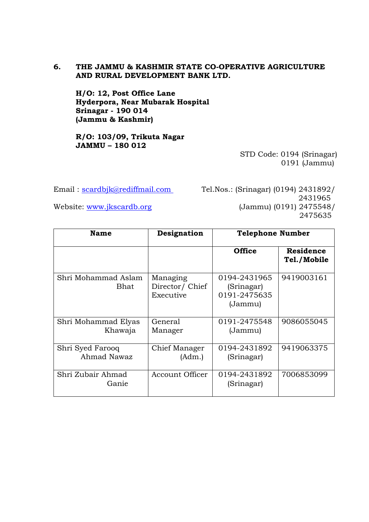# **6. THE JAMMU & KASHMIR STATE CO-OPERATIVE AGRICULTURE AND RURAL DEVELOPMENT BANK LTD.**

 **H/O: 12, Post Office Lane Hyderpora, Near Mubarak Hospital Srinagar - 190 014 (Jammu & Kashmir)**

**R/O: 103/09, Trikuta Nagar JAMMU – 180 012**

STD Code: 0194 (Srinagar) 0191 (Jammu)

Email: [scardbjk@rediffmail.com](mailto:scardbjk@rediffmail.com) Tel.Nos.: (Srinagar) (0194) 2431892/ 2431965 Website: [www.jkscardb.org](http://www.jkscardb.org/) (Jammu) (0191) 2475548/ 2475635

| <b>Name</b>                     | Designation                              | <b>Telephone Number</b>                               |                                 |
|---------------------------------|------------------------------------------|-------------------------------------------------------|---------------------------------|
|                                 |                                          | <b>Office</b>                                         | <b>Residence</b><br>Tel./Mobile |
| Shri Mohammad Aslam<br>Bhat     | Managing<br>Director/ Chief<br>Executive | 0194-2431965<br>(Srinagar)<br>0191-2475635<br>(Jammu) | 9419003161                      |
| Shri Mohammad Elyas<br>Khawaja  | General<br>Manager                       | 0191-2475548<br>(Jammu)                               | 9086055045                      |
| Shri Syed Farooq<br>Ahmad Nawaz | Chief Manager<br>(Adm.)                  | 0194-2431892<br>(Srinagar)                            | 9419063375                      |
| Shri Zubair Ahmad<br>Ganie      | Account Officer                          | 0194-2431892<br>(Srinagar)                            | 7006853099                      |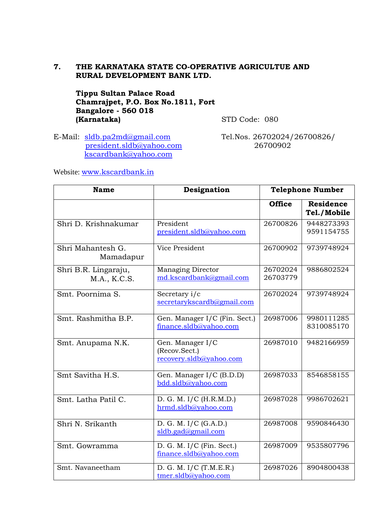# **7. THE KARNATAKA STATE CO-OPERATIVE AGRICULTUE AND RURAL DEVELOPMENT BANK LTD.**

 **Tippu Sultan Palace Road Chamrajpet, P.O. Box No.1811, Fort Bangalore - 560 018 (Karnataka)** STD Code: 080

E-Mail: [sldb.pa2md@gmail.com](mailto:sldb.pa2md@gmail.com) Tel.Nos. 26702024/26700826/ [president.sldb@yahoo.com](mailto:president.sldb@yahoo.com) 26700902 [kscardbank@yahoo.com](mailto:kscardbank@yahoo.com)

Website: [www.kscardbank.i](http://www.kscardbank./)n

| <b>Name</b>                          | Designation                                                  |                      | <b>Telephone Number</b>         |
|--------------------------------------|--------------------------------------------------------------|----------------------|---------------------------------|
|                                      |                                                              | <b>Office</b>        | <b>Residence</b><br>Tel./Mobile |
| Shri D. Krishnakumar                 | President<br>president.sldb@yahoo.com                        | 26700826             | 9448273393<br>9591154755        |
| Shri Mahantesh G.<br>Mamadapur       | Vice President                                               | 26700902             | 9739748924                      |
| Shri B.R. Lingaraju,<br>M.A., K.C.S. | <b>Managing Director</b><br>md.kscardbank@gmail.com          | 26702024<br>26703779 | 9886802524                      |
| Smt. Poornima S.                     | Secretary i/c<br>secretarykscardb@gmail.com                  | 26702024             | 9739748924                      |
| Smt. Rashmitha B.P.                  | Gen. Manager I/C (Fin. Sect.)<br>finance.sldb@yahoo.com      | 26987006             | 9980111285<br>8310085170        |
| Smt. Anupama N.K.                    | Gen. Manager I/C<br>(Recov.Sect.)<br>recovery.sldb@yahoo.com | 26987010             | 9482166959                      |
| Smt Savitha H.S.                     | Gen. Manager I/C (B.D.D)<br>bdd.sldb@yahoo.com               | 26987033             | 8546858155                      |
| Smt. Latha Patil C.                  | D. G. M. I/C (H.R.M.D.)<br>hrmd.sldb@yahoo.com               | 26987028             | 9986702621                      |
| Shri N. Srikanth                     | D. G. M. $I/C$ (G.A.D.)<br>sldb.gad@gmail.com                | 26987008             | 9590846430                      |
| Smt. Gowramma                        | D. G. M. $I/C$ (Fin. Sect.)<br>finance.sldb@yahoo.com        | 26987009             | 9535807796                      |
| Smt. Navaneetham                     | D. G. M. I/C (T.M.E.R.)<br>tmer.sldb@yahoo.com               | 26987026             | 8904800438                      |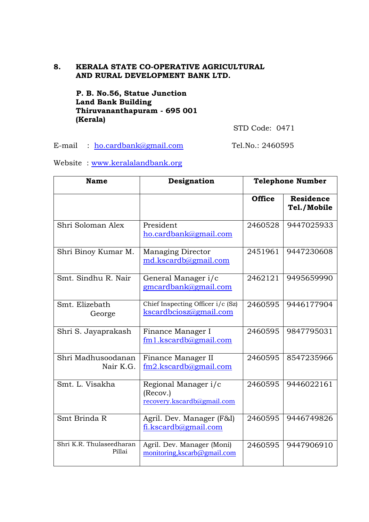# **8. KERALA STATE CO-OPERATIVE AGRICULTURAL AND RURAL DEVELOPMENT BANK LTD.**

 **P. B. No.56, Statue Junction Land Bank Building Thiruvananthapuram - 695 001 (Kerala)**

STD Code: 0471

E-mail : <u>ho.cardbank@gmail.com</u> Tel.No.: 2460595

Website : [www.keralalandbank.org](http://www.keralalandbank.org/)

| <b>Name</b>                        | Designation                                                    |               | <b>Telephone Number</b>         |
|------------------------------------|----------------------------------------------------------------|---------------|---------------------------------|
|                                    |                                                                | <b>Office</b> | <b>Residence</b><br>Tel./Mobile |
| Shri Soloman Alex                  | President<br>ho.cardbank@gmail.com                             | 2460528       | 9447025933                      |
| Shri Binoy Kumar M.                | <b>Managing Director</b><br>md.kscardb@gmail.com               | 2451961       | 9447230608                      |
| Smt. Sindhu R. Nair                | General Manager i/c<br>gmcardbank@gmail.com                    | 2462121       | 9495659990                      |
| Smt. Elizebath<br>George           | Chief Inspecting Officer i/c (Sz)<br>kscardbciosz@gmail.com    | 2460595       | 9446177904                      |
| Shri S. Jayaprakash                | Finance Manager I<br>fm1.kscardb@gmail.com                     | 2460595       | 9847795031                      |
| Shri Madhusoodanan<br>Nair K.G.    | Finance Manager II<br>$fm2$ .kscardb@gmail.com                 | 2460595       | 8547235966                      |
| Smt. L. Visakha                    | Regional Manager i/c<br>(Recov.)<br>recovery.kscardb@gmail.com | 2460595       | 9446022161                      |
| Smt Brinda R                       | Agril. Dev. Manager (F&I)<br>fi.kscardb@gmail.com              | 2460595       | 9446749826                      |
| Shri K.R. Thulaseedharan<br>Pillai | Agril. Dev. Manager (Moni)<br>monitoring, kscarb@gmail.com     | 2460595       | 9447906910                      |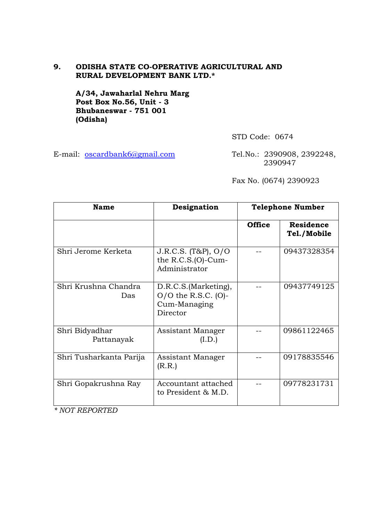# **9. ODISHA STATE CO-OPERATIVE AGRICULTURAL AND RURAL DEVELOPMENT BANK LTD.\***

 **A/34, Jawaharlal Nehru Marg Post Box No.56, Unit - 3 Bhubaneswar - 751 001 (Odisha)**

STD Code: 0674

E-mail: [oscardbank6@gmail.com](mailto:oscardbank6@gmail.com) Tel.No.: 2390908, 2392248, 2390947

Fax No. (0674) 2390923

| <b>Name</b>                  | Designation                                                                   | <b>Telephone Number</b> |                                 |
|------------------------------|-------------------------------------------------------------------------------|-------------------------|---------------------------------|
|                              |                                                                               | <b>Office</b>           | <b>Residence</b><br>Tel./Mobile |
| Shri Jerome Kerketa          | J.R.C.S. (T&P), O/O<br>the $R.C.S.(O)-Cum-$<br>Administrator                  |                         | 09437328354                     |
| Shri Krushna Chandra<br>Das  | D.R.C.S. (Marketing),<br>$O/O$ the R.S.C. $(O)$ -<br>Cum-Managing<br>Director |                         | 09437749125                     |
| Shri Bidyadhar<br>Pattanayak | Assistant Manager<br>(I.D.)                                                   |                         | 09861122465                     |
| Shri Tusharkanta Parija      | Assistant Manager<br>(R.R.)                                                   |                         | 09178835546                     |
| Shri Gopakrushna Ray         | Accountant attached<br>to President & M.D.                                    |                         | 09778231731                     |

*\* NOT REPORTED*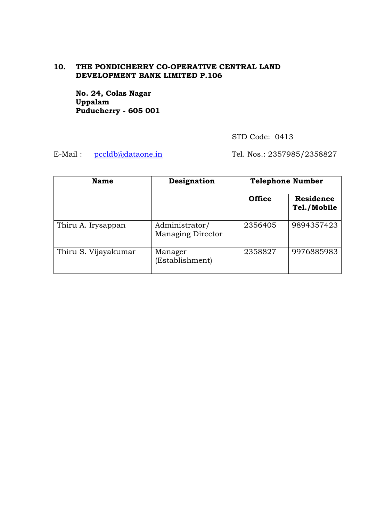# **10. THE PONDICHERRY CO-OPERATIVE CENTRAL LAND DEVELOPMENT BANK LIMITED P.106**

 **No. 24, Colas Nagar Uppalam Puducherry - 605 001** 

STD Code: 0413

E-Mail: <u>[pccldb@dataone.in](mailto:pccldb@dataone.in)</u> Tel. Nos.: 2357985/2358827

| <b>Name</b>          | Designation                                | <b>Telephone Number</b> |                                 |
|----------------------|--------------------------------------------|-------------------------|---------------------------------|
|                      |                                            | <b>Office</b>           | <b>Residence</b><br>Tel./Mobile |
| Thiru A. Irysappan   | Administrator/<br><b>Managing Director</b> | 2356405                 | 9894357423                      |
| Thiru S. Vijayakumar | Manager<br>(Establishment)                 | 2358827                 | 9976885983                      |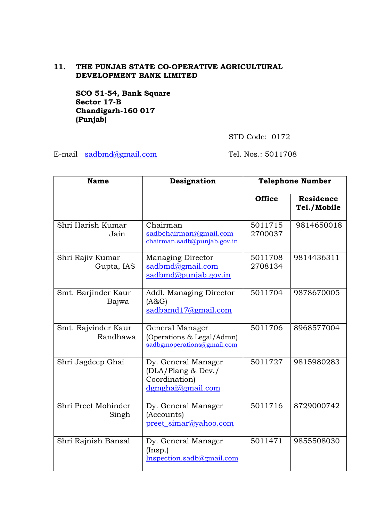# **11. THE PUNJAB STATE CO-OPERATIVE AGRICULTURAL DEVELOPMENT BANK LIMITED**

**SCO 51-54, Bank Square Sector 17-B Chandigarh-160 017 (Punjab)**

STD Code: 0172

E-mail [sadbmd@gmail.com](mailto:sadbmd@gmail.com) Tel. Nos.: 5011708

| <b>Name</b>                     | Designation                                                                     | <b>Telephone Number</b> |                                 |
|---------------------------------|---------------------------------------------------------------------------------|-------------------------|---------------------------------|
|                                 |                                                                                 | <b>Office</b>           | <b>Residence</b><br>Tel./Mobile |
| Shri Harish Kumar<br>Jain       | Chairman<br>sadbchairman@gmail.com<br>chairman.sadb@punjab.gov.in               | 5011715<br>2700037      | 9814650018                      |
| Shri Rajiv Kumar<br>Gupta, IAS  | <b>Managing Director</b><br>sadbmd@gmail.com<br>sadbmd@punjab.gov.in            | 5011708<br>2708134      | 9814436311                      |
| Smt. Barjinder Kaur<br>Bajwa    | Addl. Managing Director<br>(A&G)<br>sadbamd17@gmail.com                         | 5011704                 | 9878670005                      |
| Smt. Rajvinder Kaur<br>Randhawa | General Manager<br>(Operations & Legal/Admn)<br>sadbgmoperations@gmail.com      | 5011706                 | 8968577004                      |
| Shri Jagdeep Ghai               | Dy. General Manager<br>(DLA/Plang & Dev./<br>Coordination)<br>dgmghai@gmail.com | 5011727                 | 9815980283                      |
| Shri Preet Mohinder<br>Singh    | Dy. General Manager<br>(Accounts)<br>preet_simar@yahoo.com                      | 5011716                 | 8729000742                      |
| Shri Rajnish Bansal             | Dy. General Manager<br>$($ Insp. $)$<br>Inspection.sadb@gmail.com               | 5011471                 | 9855508030                      |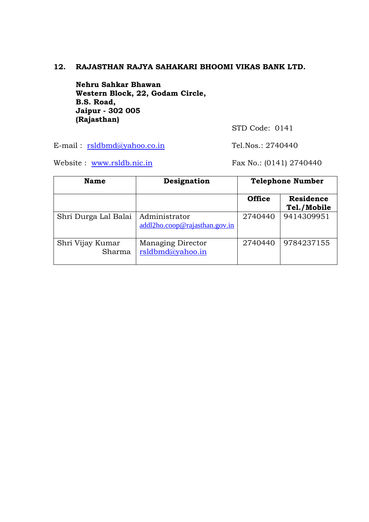# **12. RAJASTHAN RAJYA SAHAKARI BHOOMI VIKAS BANK LTD.**

**Nehru Sahkar Bhawan Western Block, 22, Godam Circle, B.S. Road, Jaipur - 302 005 (Rajasthan)**

STD Code: 0141

E-mail: [rsldbmd@yahoo.c](mailto:rsldbmd@yahoo.)o.in Tel.Nos.: 2740440

Website : [www.rsldb.nic.in](http://www.rsldb.nic.in/) Fax No.: (0141) 2740440

| <b>Name</b>                | Designation                                    | <b>Telephone Number</b> |                                 |
|----------------------------|------------------------------------------------|-------------------------|---------------------------------|
|                            |                                                | <b>Office</b>           | <b>Residence</b><br>Tel./Mobile |
| Shri Durga Lal Balai       | Administrator<br>addl2ho.coop@rajasthan.gov.in | 2740440                 | 9414309951                      |
| Shri Vijay Kumar<br>Sharma | Managing Director<br>rsldbmd@yahoo.in          | 2740440                 | 9784237155                      |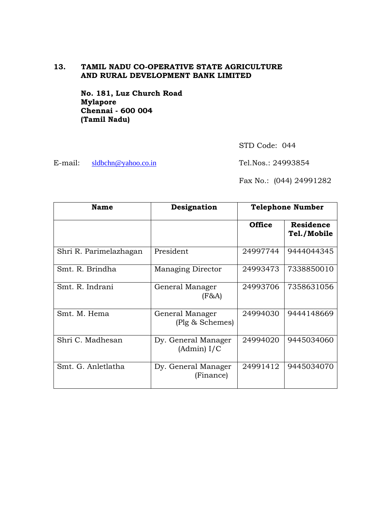# **13. TAMIL NADU CO-OPERATIVE STATE AGRICULTURE AND RURAL DEVELOPMENT BANK LIMITED**

 **No. 181, Luz Church Road Mylapore Chennai - 600 004 (Tamil Nadu)**

STD Code: 044

E-mail: [sldbchn@yahoo.co.in](mailto:sldbchn@yahoo.co.in) Tel.Nos.: 24993854

Fax No.: (044) 24991282

| <b>Name</b>            | Designation                        |               | <b>Telephone Number</b>         |
|------------------------|------------------------------------|---------------|---------------------------------|
|                        |                                    | <b>Office</b> | <b>Residence</b><br>Tel./Mobile |
| Shri R. Parimelazhagan | President                          | 24997744      | 9444044345                      |
| Smt. R. Brindha        | <b>Managing Director</b>           | 24993473      | 7338850010                      |
| Smt. R. Indrani        | General Manager<br>$(F\&A)$        | 24993706      | 7358631056                      |
| Smt. M. Hema           | General Manager<br>(Plg & Schemes) | 24994030      | 9444148669                      |
| Shri C. Madhesan       | Dy. General Manager<br>(Admin) I/C | 24994020      | 9445034060                      |
| Smt. G. Anletlatha     | Dy. General Manager<br>(Finance)   | 24991412      | 9445034070                      |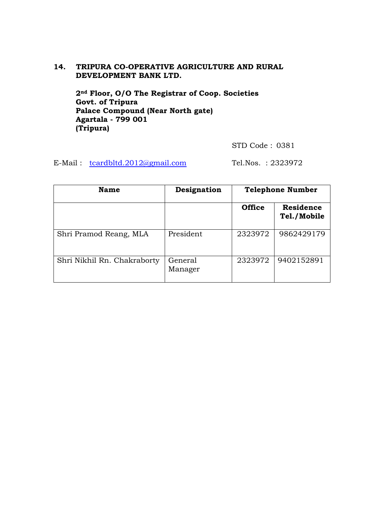# **14. TRIPURA CO-OPERATIVE AGRICULTURE AND RURAL DEVELOPMENT BANK LTD.**

**2nd Floor, O/O The Registrar of Coop. Societies Govt. of Tripura Palace Compound (Near North gate) Agartala - 799 001 (Tripura)**

STD Code : 0381

E-Mail : [tcardbltd.2012@gmail.com](mailto:tcardbltd.2012@gmail.com) Tel.Nos. : 2323972

| <b>Name</b>                 | Designation        |               | <b>Telephone Number</b>         |
|-----------------------------|--------------------|---------------|---------------------------------|
|                             |                    | <b>Office</b> | <b>Residence</b><br>Tel./Mobile |
| Shri Pramod Reang, MLA      | President          | 2323972       | 9862429179                      |
| Shri Nikhil Rn. Chakraborty | General<br>Manager | 2323972       | 9402152891                      |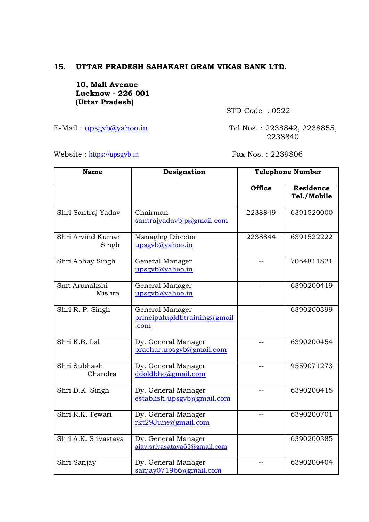# **15. UTTAR PRADESH SAHAKARI GRAM VIKAS BANK LTD.**

**10, Mall Avenue Lucknow - 226 001 (Uttar Pradesh)**

STD Code : 0522

E-Mail: upsgyb@yahoo.in Tel.Nos.: 2238842, 2238855, 2238840

Website : [https://upsgvb.in](https://upsgvb.in/) Fax Nos. : 2239806

| <b>Name</b>                | Designation                                             |               | Telephone Number                |
|----------------------------|---------------------------------------------------------|---------------|---------------------------------|
|                            |                                                         | <b>Office</b> | <b>Residence</b><br>Tel./Mobile |
| Shri Santraj Yadav         | Chairman<br>santrajyadavbjp@gmail.com                   | 2238849       | 6391520000                      |
| Shri Arvind Kumar<br>Singh | <b>Managing Director</b><br>upsgyb@yahoo.in             | 2238844       | 6391522222                      |
| Shri Abhay Singh           | General Manager<br>upsgyb@yahoo.in                      |               | 7054811821                      |
| Smt Arunakshi<br>Mishra    | General Manager<br>upsgyb@yahoo.in                      |               | 6390200419                      |
| Shri R. P. Singh           | General Manager<br>principalupldbtraining@gmail<br>.com |               | 6390200399                      |
| Shri K.B. Lal              | Dy. General Manager<br>prachar.upsgvb@gmail.com         | $-$           | 6390200454                      |
| Shri Subhash<br>Chandra    | Dy. General Manager<br>ddoldbho@gmail.com               | $-$           | 9559071273                      |
| Shri D.K. Singh            | Dy. General Manager<br>establish.upsgvb@gmail.com       | $-$           | 6390200415                      |
| Shri R.K. Tewari           | Dy. General Manager<br>rkt29June@gmail.com              | $-$           | 6390200701                      |
| Shri A.K. Srivastava       | Dy. General Manager<br>ajay.srivasatava63@gmail.com     |               | 6390200385                      |
| Shri Sanjay                | Dy. General Manager<br>sanjay071966@gmail.com           |               | 6390200404                      |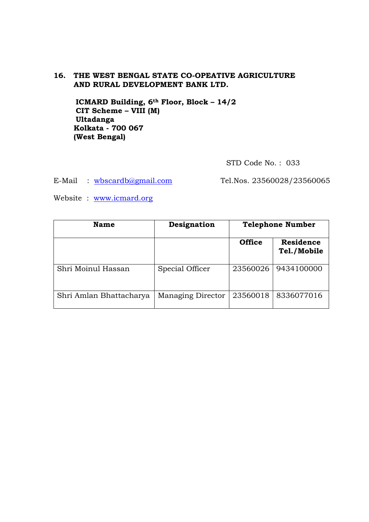# **16. THE WEST BENGAL STATE CO-OPEATIVE AGRICULTURE AND RURAL DEVELOPMENT BANK LTD.**

**ICMARD Building, 6th Floor, Block – 14/2 CIT Scheme – VIII (M) Ultadanga Kolkata - 700 067 (West Bengal)**

STD Code No. : 033

E-Mail : [wbscardb@gmail.com](mailto:wbscardb@gmail.com) Tel.Nos. 23560028/23560065

Website : [www.icmard.org](http://www.icmard.org/)

| <b>Name</b>             | Designation              |               | <b>Telephone Number</b>         |
|-------------------------|--------------------------|---------------|---------------------------------|
|                         |                          | <b>Office</b> | <b>Residence</b><br>Tel./Mobile |
| Shri Moinul Hassan      | Special Officer          | 23560026      | 9434100000                      |
| Shri Amlan Bhattacharya | <b>Managing Director</b> | 23560018      | 8336077016                      |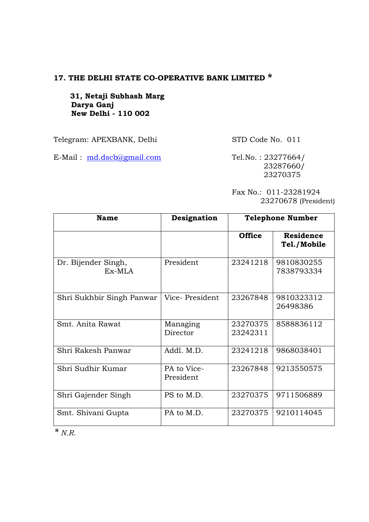# **17. THE DELHI STATE CO-OPERATIVE BANK LIMITED \***

 **31, Netaji Subhash Marg Darya Ganj New Delhi - 110 002**

Telegram: APEXBANK, Delhi STD Code No. 011

E-Mail: <u>[md.dscb@gmail.com](mailto:md.dscb@gmail.com)</u> Tel.No.: 23277664/

 23287660/ 23270375

Fax No.: 011-23281924 23270678 (President)

| <b>Name</b>                     | Designation              |                      | <b>Telephone Number</b>         |
|---------------------------------|--------------------------|----------------------|---------------------------------|
|                                 |                          | <b>Office</b>        | <b>Residence</b><br>Tel./Mobile |
| Dr. Bijender Singh,<br>$Ex-MLA$ | President                | 23241218             | 9810830255<br>7838793334        |
| Shri Sukhbir Singh Panwar       | Vice-President           | 23267848             | 9810323312<br>26498386          |
| Smt. Anita Rawat                | Managing<br>Director     | 23270375<br>23242311 | 8588836112                      |
| Shri Rakesh Panwar              | Addl. M.D.               | 23241218             | 9868038401                      |
| Shri Sudhir Kumar               | PA to Vice-<br>President | 23267848             | 9213550575                      |
| Shri Gajender Singh             | PS to M.D.               | 23270375             | 9711506889                      |
| Smt. Shivani Gupta              | PA to M.D.               | 23270375             | 9210114045                      |

*\* N.R.*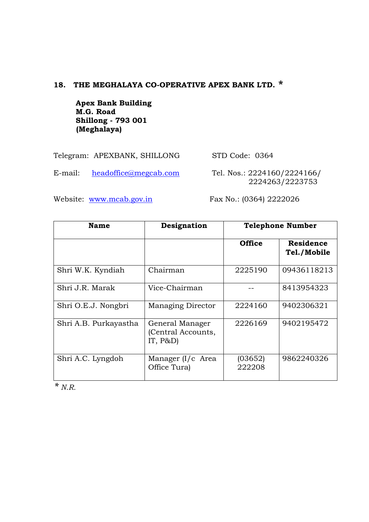# **18. THE MEGHALAYA CO-OPERATIVE APEX BANK LTD. \***

**Apex Bank Building M.G. Road Shillong - 793 001 (Meghalaya)**

Telegram: APEXBANK, SHILLONG STD Code: 0364

E-mail: [headoffice@megcab.com](mailto:headoffice@megcab.com) Tel. Nos.: 2224160/2224166/

2224263/2223753

Website: [www.mcab.gov.in](http://www.mcab.gov.in/) Fax No.: (0364) 2222026

| <b>Name</b>           | Designation                                         |                   | <b>Telephone Number</b>  |
|-----------------------|-----------------------------------------------------|-------------------|--------------------------|
|                       |                                                     | <b>Office</b>     | Residence<br>Tel./Mobile |
| Shri W.K. Kyndiah     | Chairman                                            | 2225190           | 09436118213              |
| Shri J.R. Marak       | Vice-Chairman                                       |                   | 8413954323               |
| Shri O.E.J. Nongbri   | <b>Managing Director</b>                            | 2224160           | 9402306321               |
| Shri A.B. Purkayastha | General Manager<br>(Central Accounts,<br>IT, $P&D)$ | 2226169           | 9402195472               |
| Shri A.C. Lyngdoh     | Manager (I/c Area<br>Office Tura)                   | (03652)<br>222208 | 9862240326               |

*\* N.R.*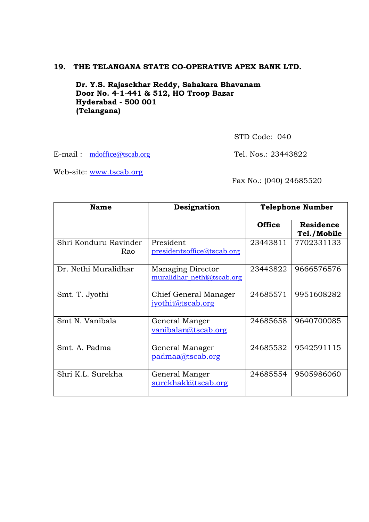# **19. THE TELANGANA STATE CO-OPERATIVE APEX BANK LTD.**

**Dr. Y.S. Rajasekhar Reddy, Sahakara Bhavanam Door No. 4-1-441 & 512, HO Troop Bazar Hyderabad - 500 001 (Telangana)**

STD Code: 040

E-mail: mdoffice@tscab.org Tel. Nos.: 23443822

Web-site: [www.tscab.org](http://www.tscab.org/)

Fax No.: (040) 24685520

| Name                         | Designation                                            |               | <b>Telephone Number</b>         |
|------------------------------|--------------------------------------------------------|---------------|---------------------------------|
|                              |                                                        | <b>Office</b> | <b>Residence</b><br>Tel./Mobile |
| Shri Konduru Ravinder<br>Rao | President<br>presidentsoffice@tscab.org                | 23443811      | 7702331133                      |
| Dr. Nethi Muralidhar         | <b>Managing Director</b><br>muralidhar_nethi@tscab.org | 23443822      | 9666576576                      |
| Smt. T. Jyothi               | Chief General Manager<br>jyothit@tscab.org             | 24685571      | 9951608282                      |
| Smt N. Vanibala              | General Manger<br>vanibalan@tscab.org                  | 24685658      | 9640700085                      |
| Smt. A. Padma                | General Manager<br>padmaa@tscab.org                    | 24685532      | 9542591115                      |
| Shri K.L. Surekha            | General Manger<br>surekhakl@tscab.org                  | 24685554      | 9505986060                      |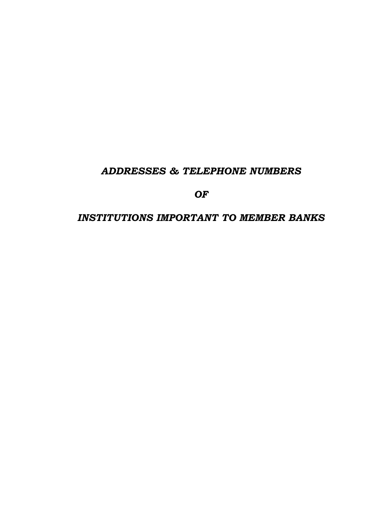# *ADDRESSES & TELEPHONE NUMBERS*

*OF*

# *INSTITUTIONS IMPORTANT TO MEMBER BANKS*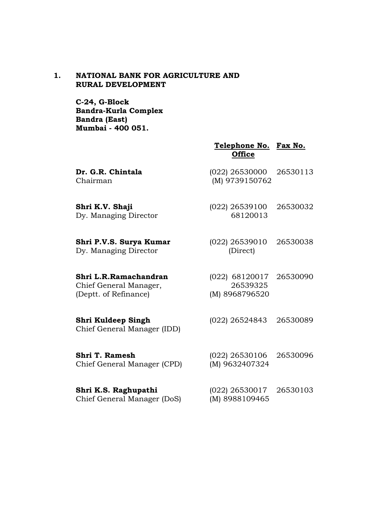# **1. NATIONAL BANK FOR AGRICULTURE AND RURAL DEVELOPMENT**

**C-24, G-Block Bandra-Kurla Complex Bandra (East) Mumbai - 400 051.**

|                                                                          | Telephone No. Fax No.<br><b>Office</b>                |          |
|--------------------------------------------------------------------------|-------------------------------------------------------|----------|
| Dr. G.R. Chintala<br>Chairman                                            | (022) 26530000<br>(M) 9739150762                      | 26530113 |
| Shri K.V. Shaji<br>Dy. Managing Director                                 | $(022)$ 26539100<br>68120013                          | 26530032 |
| Shri P.V.S. Surya Kumar<br>Dy. Managing Director                         | $(022)$ 26539010<br>(Direct)                          | 26530038 |
| Shri L.R.Ramachandran<br>Chief General Manager,<br>(Deptt. of Refinance) | (022) 68120017 26530090<br>26539325<br>(M) 8968796520 |          |
| Shri Kuldeep Singh<br>Chief General Manager (IDD)                        | (022) 26524843                                        | 26530089 |
| <b>Shri T. Ramesh</b><br>Chief General Manager (CPD)                     | $(022)$ 26530106<br>(M) 9632407324                    | 26530096 |
| Shri K.S. Raghupathi<br>Chief General Manager (DoS)                      | $(022)$ 26530017<br>(M) 8988109465                    | 26530103 |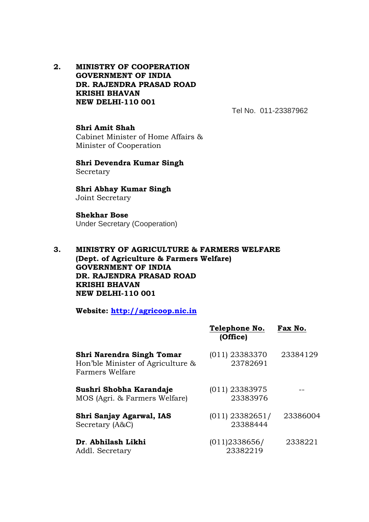**2. MINISTRY OF COOPERATION GOVERNMENT OF INDIA DR. RAJENDRA PRASAD ROAD KRISHI BHAVAN NEW DELHI-110 001**

Tel No. 011-23387962

**Shri Amit Shah** Cabinet Minister of Home Affairs & Minister of Cooperation

**Shri Devendra Kumar Singh** Secretary

**Shri Abhay Kumar Singh** Joint Secretary

**Shekhar Bose** Under Secretary (Cooperation)

**3. MINISTRY OF AGRICULTURE & FARMERS WELFARE (Dept. of Agriculture & Farmers Welfare) GOVERNMENT OF INDIA DR. RAJENDRA PRASAD ROAD KRISHI BHAVAN NEW DELHI-110 001**

**Website: [http://agricoop.nic.in](http://agricoop.nic.in/)**

|                                                                                   | Telephone No.<br>(Office)     | Fax No.  |
|-----------------------------------------------------------------------------------|-------------------------------|----------|
| Shri Narendra Singh Tomar<br>Hon'ble Minister of Agriculture &<br>Farmers Welfare | $(011)$ 23383370<br>23782691  | 23384129 |
| Sushri Shobha Karandaje<br>MOS (Agri. & Farmers Welfare)                          | $(011)$ 23383975<br>23383976  |          |
| Shri Sanjay Agarwal, IAS<br>Secretary (A&C)                                       | $(011)$ 23382651/<br>23388444 | 23386004 |
| Dr. Abhilash Likhi<br>Addl. Secretary                                             | (011)2338656/<br>23382219     | 2338221  |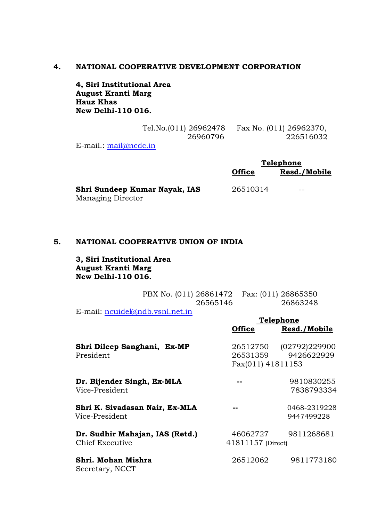#### **4. NATIONAL COOPERATIVE DEVELOPMENT CORPORATION**

**4, Siri Institutional Area August Kranti Marg Hauz Khas New Delhi-110 016.**

| Tel.No.(011) 26962478       | Fax No. (011) 26962370, |
|-----------------------------|-------------------------|
| 26960796                    | 226516032               |
| E-mail $\cdot$ mail@ncdc in |                         |

E-mail.:  $\frac{\text{mail}(a)\text{ncdc.in}}{\text{mail}(a)\text{ncdc.in}}$ 

|                               | <b>Telephone</b> |              |
|-------------------------------|------------------|--------------|
|                               | <b>Office</b>    | Resd./Mobile |
| Shri Sundeep Kumar Nayak, IAS | 26510314         | --           |
| <b>Managing Director</b>      |                  |              |

# **5. NATIONAL COOPERATIVE UNION OF INDIA**

**3, Siri Institutional Area August Kranti Marg New Delhi-110 016.**

|          | PBX No. (011) 26861472  Fax: (011) 26865350 |
|----------|---------------------------------------------|
| 26565146 | 26863248                                    |

**Telephone**

E-mail: [ncuidel@ndb.vsnl.net.in](mailto:ncuidel@ndb.vsnl.net.in)

|                                                           | <b>Office</b>                             | Resd./Mobile                |
|-----------------------------------------------------------|-------------------------------------------|-----------------------------|
| Shri Dileep Sanghani, Ex-MP<br>President                  | 26512750<br>26531359<br>Fax(011) 41811153 | (02792)229900<br>9426622929 |
| Dr. Bijender Singh, Ex-MLA<br>Vice-President              |                                           | 9810830255<br>7838793334    |
| Shri K. Sivadasan Nair, Ex-MLA<br>Vice-President          |                                           | 0468-2319228<br>9447499228  |
| Dr. Sudhir Mahajan, IAS (Retd.)<br><b>Chief Executive</b> | 46062727<br>41811157 (Direct)             | 9811268681                  |
| Shri. Mohan Mishra<br>Secretary, NCCT                     | 26512062                                  | 9811773180                  |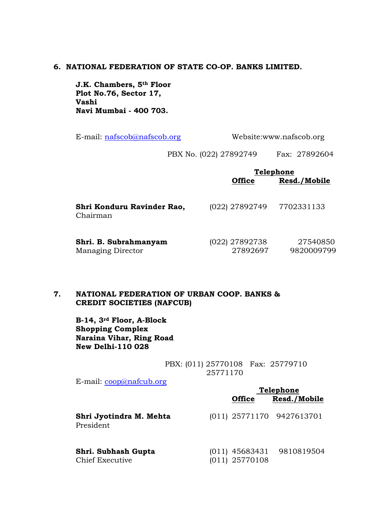## **6. NATIONAL FEDERATION OF STATE CO-OP. BANKS LIMITED.**

**J.K. Chambers, 5th Floor Plot No.76, Sector 17, Vashi Navi Mumbai - 400 703.**

E-mail: [nafscob@nafscob.org](mailto:nafscob@nafscob.org) Website:www.nafscob.org

PBX No. (022) 27892749 Fax: 27892604

|                                        | <b>Telephone</b> |              |  |
|----------------------------------------|------------------|--------------|--|
|                                        | <b>Office</b>    | Resd./Mobile |  |
|                                        |                  |              |  |
| Shri Konduru Ravinder Rao,<br>Chairman | (022) 27892749   | 7702331133   |  |
|                                        |                  |              |  |
| Shri. B. Subrahmanyam                  | (022) 27892738   | 27540850     |  |
| <b>Managing Director</b>               | 27892697         | 9820009799   |  |

# **7. NATIONAL FEDERATION OF URBAN COOP. BANKS & CREDIT SOCIETIES (NAFCUB)**

**B-14, 3rd Floor, A-Block Shopping Complex Naraina Vihar, Ring Road New Delhi-110 028**

> PBX: (011) 25770108 Fax: 25779710 25771170

E-mail: [coop@nafcub.org](mailto:coop@nafcub.org)

|                                        | Telephone |                  |                           |
|----------------------------------------|-----------|------------------|---------------------------|
|                                        |           | <b>Office</b>    | Resd./Mobile              |
| Shri Jyotindra M. Mehta<br>President   |           |                  | (011) 25771170 9427613701 |
| Shri. Subhash Gupta<br>Chief Executive |           | $(011)$ 25770108 | (011) 45683431 9810819504 |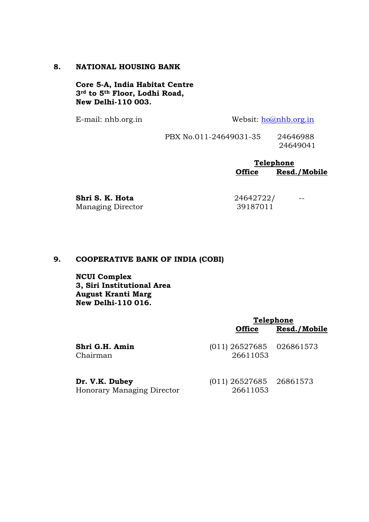### **8. NATIONAL HOUSING BANK**

**Core 5-A, India Habitat Centre 3rd to 5th Floor, Lodhi Road, New Delhi-110 003.**

E-mail: nhb.org.in Websit: [ho@nhb.org.in](mailto:ho@nhb.org.in)

PBX No.011-24649031-35 24646988 24649041

> **Telephone Office Resd./Mobile**

Managing Director 39187011

**Shri S. K. Hota** 24642722/ --

# **9. COOPERATIVE BANK OF INDIA (COBI)**

**NCUI Complex 3, Siri Institutional Area August Kranti Marg New Delhi-110 016.**

|                                              | <b>Telephone</b>                       |              |
|----------------------------------------------|----------------------------------------|--------------|
|                                              | <b>Office</b>                          | Resd./Mobile |
| Shri G.H. Amin<br>Chairman                   | $(011)$ 26527685 026861573<br>26611053 |              |
| Dr. V.K. Dubey<br>Honorary Managing Director | $(011)$ 26527685 26861573<br>26611053  |              |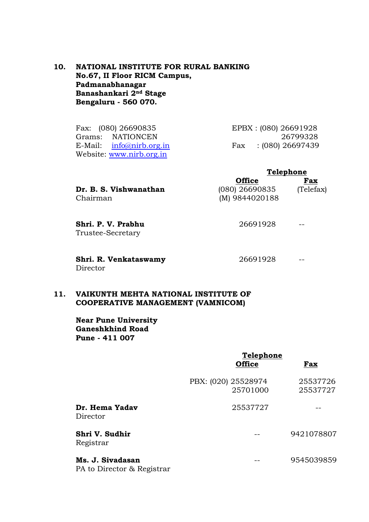# **10. NATIONAL INSTITUTE FOR RURAL BANKING No.67, II Floor RICM Campus, Padmanabhanagar Banashankari 2nd Stage Bengaluru - 560 070.**

Fax: (080) 26690835 EPBX : (080) 26691928 Grams: NATIONCEN 26799328 E-Mail: [info@nirb.org.in](mailto:info@nirb.org.in) Fax : (080) 26697439 Website: [www.nirb.org.in](http://www.nirb.org.in/)

| <b>Telephone</b> |           |
|------------------|-----------|
| <b>Office</b>    | Fax       |
| $(080)$ 26690835 | (Telefax) |
| $(M)$ 9844020188 |           |
|                  |           |

**Shri. P. V. Prabhu** 26691928 -- Trustee-Secretary

**Shri. R. Venkataswamy** 26691928 -- Director

## **11. VAIKUNTH MEHTA NATIONAL INSTITUTE OF COOPERATIVE MANAGEMENT (VAMNICOM)**

**Near Pune University Ganeshkhind Road Pune - 411 007**

|                                                | Telephone                       |                      |
|------------------------------------------------|---------------------------------|----------------------|
|                                                | <b>Office</b>                   | Fax                  |
|                                                | PBX: (020) 25528974<br>25701000 | 25537726<br>25537727 |
| Dr. Hema Yadav<br>Director                     | 25537727                        |                      |
| Shri V. Sudhir<br>Registrar                    |                                 | 9421078807           |
| Ms. J. Sivadasan<br>PA to Director & Registrar |                                 | 9545039859           |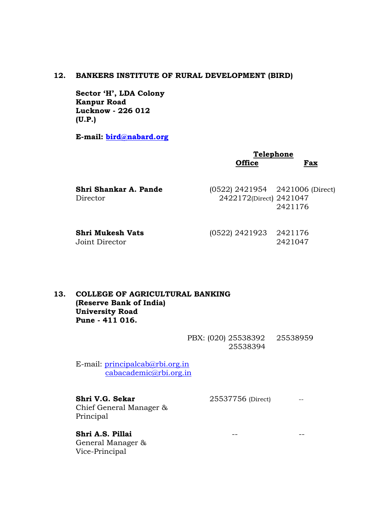#### **12. BANKERS INSTITUTE OF RURAL DEVELOPMENT (BIRD)**

**Sector 'H', LDA Colony Kanpur Road Lucknow - 226 012 (U.P.)**

**E-mail: [bird@nabard.org](mailto:bird@nabard.org)**

# **Telephone Office Fax**

| Shri Shankar A. Pande | $(0522)$ 2421954 2421006 (Direct) |         |
|-----------------------|-----------------------------------|---------|
| Director              | 2422172(Direct) 2421047           |         |
|                       |                                   | 2421176 |
|                       |                                   |         |

**Shri Mukesh Vats** (0522) 2421923 2421176 Joint Director 2421047

# **13. COLLEGE OF AGRICULTURAL BANKING (Reserve Bank of India) University Road Pune - 411 016.**

PBX: (020) 25538392 25538959 25538394

E-mail: [principalcab@rbi.org.in](mailto:principalcab@rbi.org.in) [cabacademic@rbi.org.in](mailto:cabacademic@rbi.org.in)

**Shri V.G. Sekar** 25537756 (Direct) --Chief General Manager & Principal

**Shri A.S. Pillai** -- -- General Manager & Vice-Principal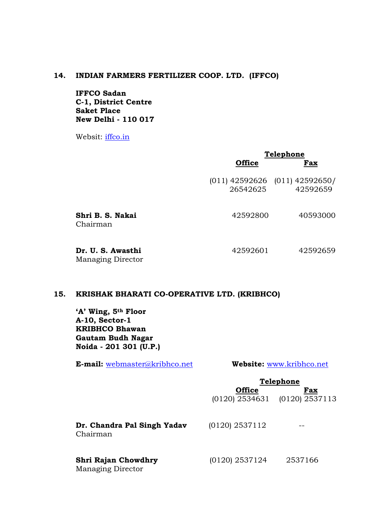#### **14. INDIAN FARMERS FERTILIZER COOP. LTD. (IFFCO)**

**IFFCO Sadan C-1, District Centre Saket Place New Delhi - 110 017**

Websit: [iffco.in](mailto:ho@nhb.org.in)

|                                               | Telephone     |                                                |
|-----------------------------------------------|---------------|------------------------------------------------|
|                                               | <b>Office</b> | Fax                                            |
|                                               | 26542625      | $(011)$ 42592626 $(011)$ 42592650/<br>42592659 |
| Shri B. S. Nakai<br>Chairman                  | 42592800      | 40593000                                       |
| Dr. U. S. Awasthi<br><b>Managing Director</b> | 42592601      | 42592659                                       |

# **15. KRISHAK BHARATI CO-OPERATIVE LTD. (KRIBHCO)**

**'A' Wing, 5th Floor A-10, Sector-1 KRIBHCO Bhawan Gautam Budh Nagar Noida - 201 301 (U.P.)**

**E-mail:** [webmaster@kribhco.net](mailto:webmaster@kribhco.net) **Website:** [www.kribhco.net](http://www.kribhco.net/)

#### **Telephone**

|                                                 | <b>Office</b>    | Fax<br>$(0120)$ 2534631 $(0120)$ 2537113 |  |
|-------------------------------------------------|------------------|------------------------------------------|--|
| Dr. Chandra Pal Singh Yadav<br>Chairman         | $(0120)$ 2537112 |                                          |  |
| Shri Rajan Chowdhry<br><b>Managing Director</b> | $(0120)$ 2537124 | 2537166                                  |  |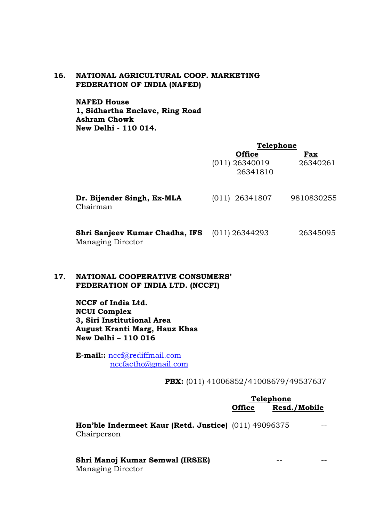## **16. NATIONAL AGRICULTURAL COOP. MARKETING FEDERATION OF INDIA (NAFED)**

**NAFED House 1, Sidhartha Enclave, Ring Road Ashram Chowk New Delhi - 110 014.**

|                                                            | <b>Telephone</b>                              |                 |
|------------------------------------------------------------|-----------------------------------------------|-----------------|
|                                                            | <b>Office</b><br>$(011)$ 26340019<br>26341810 | Fax<br>26340261 |
| Dr. Bijender Singh, Ex-MLA<br>Chairman                     | $(011)$ 26341807                              | 9810830255      |
| Shri Sanjeev Kumar Chadha, IFS<br><b>Managing Director</b> | $(011)$ 26344293                              | 26345095        |

# **17. NATIONAL COOPERATIVE CONSUMERS' FEDERATION OF INDIA LTD. (NCCFI)**

**NCCF of India Ltd. NCUI Complex 3, Siri Institutional Area August Kranti Marg, Hauz Khas New Delhi – 110 016**

**E-mail::** [nccf@rediffmail.com](mailto:nccf@rediffmail.com) [nccfactho@gmail.com](mailto:nccfactho@gmail.com)

**PBX:** (011) 41006852/41008679/49537637

|               | <b>Telephone</b> |              |
|---------------|------------------|--------------|
| <b>Office</b> |                  | Resd./Mobile |

**Hon'ble Indermeet Kaur (Retd. Justice)** (011) 49096375 -- Chairperson

# **Shri Manoj Kumar Semwal (IRSEE)** -- --

Managing Director